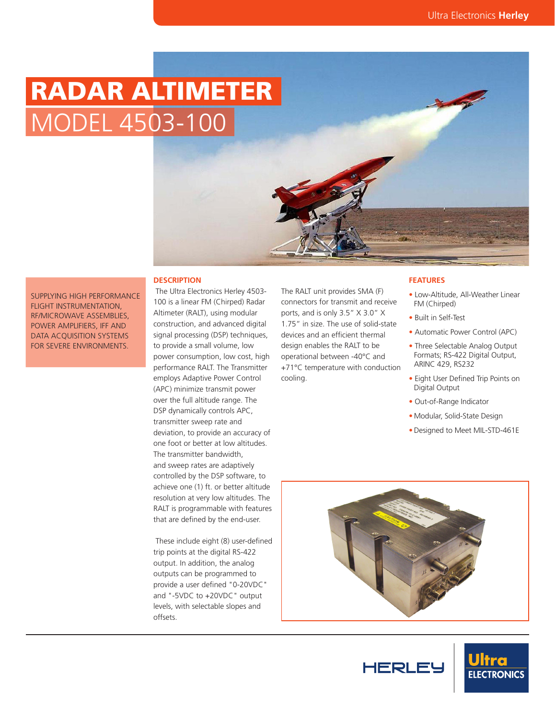# RADAR ALTIMETER MODEL 4503-100

#### **DESCRIPTION**

SUPPLYING HIGH PERFORMANCE FLIGHT INSTRUMENTATION, RF/MICROWAVE ASSEMBLIES, POWER AMPLIFIERS, IFF AND DATA ACQUISITION SYSTEMS FOR SEVERE ENVIRONMENTS.

#### 100 is a linear FM (Chirped) Radar Altimeter (RALT), using modular construction, and advanced digital signal processing (DSP) techniques, to provide a small volume, low power consumption, low cost, high performance RALT. The Transmitter employs Adaptive Power Control (APC) minimize transmit power over the full altitude range. The DSP dynamically controls APC, transmitter sweep rate and deviation, to provide an accuracy of one foot or better at low altitudes. The transmitter bandwidth, and sweep rates are adaptively controlled by the DSP software, to achieve one (1) ft. or better altitude resolution at very low altitudes. The RALT is programmable with features that are defined by the end-user.

The Ultra Electronics Herley 4503-

 These include eight (8) user-defined trip points at the digital RS-422 output. In addition, the analog outputs can be programmed to provide a user defined "0-20VDC" and "-5VDC to +20VDC" output levels, with selectable slopes and offsets.

The RALT unit provides SMA (F) connectors for transmit and receive ports, and is only 3.5" X 3.0" X 1.75" in size. The use of solid-state devices and an efficient thermal design enables the RALT to be operational between -40°C and +71°C temperature with conduction cooling.

#### **FEATURES**

- Low-Altitude, All-Weather Linear FM (Chirped)
- Built in Self-Test
- Automatic Power Control (APC)
- Three Selectable Analog Output Formats; RS-422 Digital Output, ARINC 429, RS232
- Eight User Defined Trip Points on Digital Output
- Out-of-Range Indicator
- Modular, Solid-State Design
- Designed to Meet MIL-STD-461E



**HERLEY**